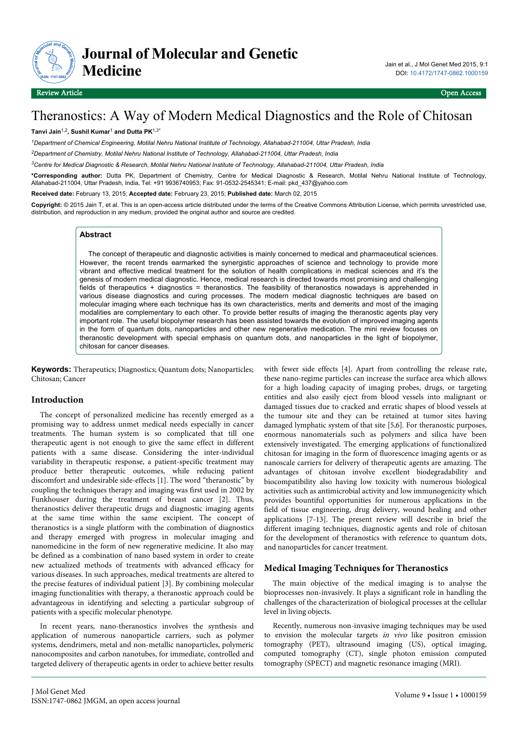

# Theranostics: A Way of Modern Medical Diagnostics and the Role of Chitosan

#### **Tanvi Jain**1,2**, Sushil Kumar**<sup>1</sup>  **and Dutta PK**1,3\*

*<sup>1</sup>Department of Chemical Engineering, Motilal Nehru National Institute of Technology, Allahabad-211004, Uttar Pradesh, India*

*<sup>2</sup>Department of Chemistry, Motilal Nehru National Institute of Technology, Allahabad-211004, Uttar Pradesh, India*

*<sup>3</sup>Centre for Medical Diagnostic & Research, Motilal Nehru National Institute of Technology, Allahabad-211004, Uttar Pradesh, India*

**\*Corresponding author:** Dutta PK, Department of Chemistry, Centre for Medical Diagnostic & Research, Motilal Nehru National Institute of Technology, Allahabad-211004, Uttar Pradesh, India, Tel: +91 9936740953; Fax: 91-0532-2545341; E-mail: pkd\_437@yahoo.com

**Received date:** February 13, 2015; **Accepted date:** February 23, 2015; **Published date:** March 02, 2015

**Copyright:** © 2015 Jain T, et al. This is an open-access article distributed under the terms of the Creative Commons Attribution License, which permits unrestricted use, distribution, and reproduction in any medium, provided the original author and source are credited.

# **Abstract**

The concept of therapeutic and diagnostic activities is mainly concerned to medical and pharmaceutical sciences. However, the recent trends earmarked the synergistic approaches of science and technology to provide more vibrant and effective medical treatment for the solution of health complications in medical sciences and it's the genesis of modern medical diagnostic. Hence, medical research is directed towards most promising and challenging fields of therapeutics + diagnostics = theranostics. The feasibility of theranostics nowadays is apprehended in various disease diagnostics and curing processes. The modern medical diagnostic techniques are based on molecular imaging where each technique has its own characteristics, merits and demerits and most of the imaging modalities are complementary to each other. To provide better results of imaging the theranostic agents play very important role. The useful biopolymer research has been assisted towards the evolution of improved imaging agents in the form of quantum dots, nanoparticles and other new regenerative medication. The mini review focuses on theranostic development with special emphasis on quantum dots, and nanoparticles in the light of biopolymer, chitosan for cancer diseases.

**Keywords:** Therapeutics; Diagnostics; Quantum dots; Nanoparticles; Chitosan; Cancer

# **Introduction**

The concept of personalized medicine has recently emerged as a promising way to address unmet medical needs especially in cancer treatments. The human system is so complicated that till one therapeutic agent is not enough to give the same effect in different patients with a same disease. Considering the inter-individual variability in therapeutic response, a patient-specific treatment may produce better therapeutic outcomes, while reducing patient discomfort and undesirable side-effects [1]. The word "theranostic" by coupling the techniques therapy and imaging was first used in 2002 by Funkhouser during the treatment of breast cancer [2]. Thus, theranostics deliver therapeutic drugs and diagnostic imaging agents at the same time within the same excipient. The concept of theranostics is a single platform with the combination of diagnostics and therapy emerged with progress in molecular imaging and nanomedicine in the form of new regenerative medicine. It also may be defined as a combination of nano based system in order to create new actualized methods of treatments with advanced efficacy for various diseases. In such approaches, medical treatments are altered to the precise features of individual patient [3]. By combining molecular imaging functionalities with therapy, a theranostic approach could be advantageous in identifying and selecting a particular subgroup of patients with a specific molecular phenotype.

In recent years, nano-theranostics involves the synthesis and application of numerous nanoparticle carriers, such as polymer systems, dendrimers, metal and non-metallic nanoparticles, polymeric nanocomposites and carbon nanotubes, for immediate, controlled and targeted delivery of therapeutic agents in order to achieve better results

with fewer side effects [4]. Apart from controlling the release rate, these nano-regime particles can increase the surface area which allows for a high loading capacity of imaging probes, drugs, or targeting entities and also easily eject from blood vessels into malignant or damaged tissues due to cracked and erratic shapes of blood vessels at the tumour site and they can be retained at tumor sites having damaged lymphatic system of that site [5,6]. For theranostic purposes, enormous nanomaterials such as polymers and silica have been extensively investigated. The emerging applications of functionalized chitosan for imaging in the form of fluorescence imaging agents or as nanoscale carriers for delivery of therapeutic agents are amazing. The advantages of chitosan involve excellent biodegradability and biocompatibility also having low toxicity with numerous biological activities such as antimicrobial activity and low immunogenicity which provides bountiful opportunities for numerous applications in the field of tissue engineering, drug delivery, wound healing and other applications [7-13]. The present review will describe in brief the different imaging techniques, diagnostic agents and role of chitosan for the development of theranostics with reference to quantum dots, and nanoparticles for cancer treatment.

# **Medical Imaging Techniques for Theranostics**

The main objective of the medical imaging is to analyse the bioprocesses non-invasively. It plays a significant role in handling the challenges of the characterization of biological processes at the cellular level in living objects.

Recently, numerous non-invasive imaging techniques may be used to envision the molecular targets in vivo like positron emission tomography (PET), ultrasound imaging (US), optical imaging, computed tomography (CT), single photon emission computed tomography (SPECT) and magnetic resonance imaging (MRI).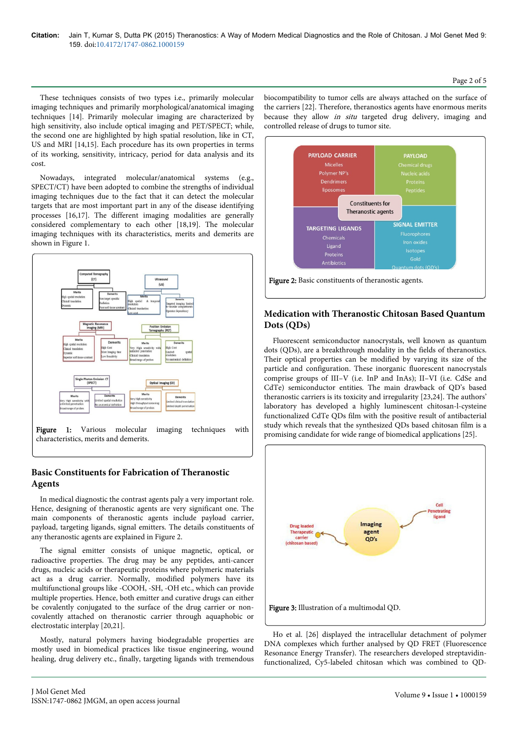These techniques consists of two types i.e., primarily molecular imaging techniques and primarily morphological/anatomical imaging techniques [14]. Primarily molecular imaging are characterized by high sensitivity, also include optical imaging and PET/SPECT; while, the second one are highlighted by high spatial resolution, like in CT, US and MRI [14,15]. Each procedure has its own properties in terms of its working, sensitivity, intricacy, period for data analysis and its cost.

Nowadays, integrated molecular/anatomical systems (e.g., SPECT/CT) have been adopted to combine the strengths of individual imaging techniques due to the fact that it can detect the molecular targets that are most important part in any of the disease identifying processes [16,17]. The different imaging modalities are generally considered complementary to each other [18,19]. The molecular imaging techniques with its characteristics, merits and demerits are shown in Figure 1.



# **Basic Constituents for Fabrication of Theranostic Agents**

In medical diagnostic the contrast agents paly a very important role. Hence, designing of theranostic agents are very significant one. The main components of theranostic agents include payload carrier, payload, targeting ligands, signal emitters. The details constituents of any theranostic agents are explained in Figure 2.

The signal emitter consists of unique magnetic, optical, or radioactive properties. The drug may be any peptides, anti-cancer drugs, nucleic acids or therapeutic proteins where polymeric materials act as a drug carrier. Normally, modified polymers have its multifunctional groups like -COOH, -SH, -OH etc., which can provide multiple properties. Hence, both emitter and curative drugs can either be covalently conjugated to the surface of the drug carrier or noncovalently attached on theranostic carrier through aquaphobic or electrostatic interplay [20,21].

Mostly, natural polymers having biodegradable properties are mostly used in biomedical practices like tissue engineering, wound healing, drug delivery etc., finally, targeting ligands with tremendous

biocompatibility to tumor cells are always attached on the surface of the carriers [22]. Therefore, theranostics agents have enormous merits because they allow in situ targeted drug delivery, imaging and controlled release of drugs to tumor site.



# **Medication with Theranostic Chitosan Based Quantum Dots (QDs)**

Fluorescent semiconductor nanocrystals, well known as quantum dots (QDs), are a breakthrough modality in the fields of theranostics. Their optical properties can be modified by varying its size of the particle and configuration. These inorganic fluorescent nanocrystals comprise groups of III–V (i.e. InP and InAs); II–VI (i.e. CdSe and CdTe) semiconductor entities. The main drawback of QD's based theranostic carriers is its toxicity and irregularity [23,24]. The authors' laboratory has developed a highly luminescent chitosan-l-cysteine functionalized CdTe QDs film with the positive result of antibacterial study which reveals that the synthesized QDs based chitosan film is a promising candidate for wide range of biomedical applications [25].



Ho et al. [26] displayed the intracellular detachment of polymer DNA complexes which further analysed by QD FRET (Fluorescence Resonance Energy Transfer). The researchers developed streptavidinfunctionalized, Cy5-labeled chitosan which was combined to QD-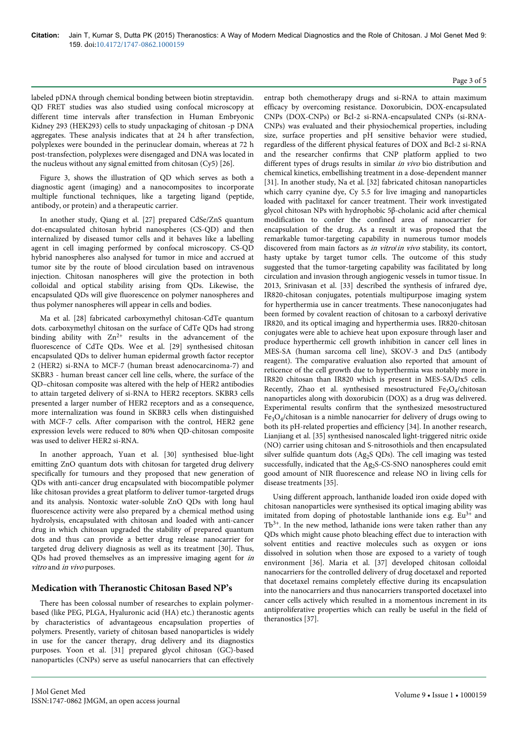#### labeled pDNA through chemical bonding between biotin streptavidin. QD FRET studies was also studied using confocal microscopy at different time intervals after transfection in Human Embryonic Kidney 293 (HEK293) cells to study unpackaging of chitosan -p DNA aggregates. These analysis indicates that at 24 h after transfection, polyplexes were bounded in the perinuclear domain, whereas at 72 h post-transfection, polyplexes were disengaged and DNA was located in the nucleus without any signal emitted from chitosan (Cy5) [26].

Figure 3, shows the illustration of QD which serves as both a diagnostic agent (imaging) and a nanocomposites to incorporate multiple functional techniques, like a targeting ligand (peptide, antibody, or protein) and a therapeutic carrier.

In another study, Qiang et al. [27] prepared CdSe/ZnS quantum dot-encapsulated chitosan hybrid nanospheres (CS-QD) and then internalized by diseased tumor cells and it behaves like a labelling agent in cell imaging performed by confocal microscopy. CS-QD hybrid nanospheres also analysed for tumor in mice and accrued at tumor site by the route of blood circulation based on intravenous injection. Chitosan nanospheres will give the protection in both colloidal and optical stability arising from QDs. Likewise, the encapsulated QDs will give fluorescence on polymer nanospheres and thus polymer nanospheres will appear in cells and bodies.

Ma et al. [28] fabricated carboxymethyl chitosan-CdTe quantum dots. carboxymethyl chitosan on the surface of CdTe QDs had strong binding ability with  $Zn^{2+}$  results in the advancement of the fluorescence of CdTe QDs. Wee et al. [29] synthesised chitosan encapsulated QDs to deliver human epidermal growth factor receptor 2 (HER2) si-RNA to MCF-7 (human breast adenocarcinoma-7) and SKBR3 - human breast cancer cell line cells, where, the surface of the QD–chitosan composite was altered with the help of HER2 antibodies to attain targeted delivery of si-RNA to HER2 receptors. SKBR3 cells presented a larger number of HER2 receptors and as a consequence, more internalization was found in SKBR3 cells when distinguished with MCF-7 cells. After comparison with the control, HER2 gene expression levels were reduced to 80% when QD-chitosan composite was used to deliver HER2 si-RNA.

In another approach, Yuan et al. [30] synthesised blue-light emitting ZnO quantum dots with chitosan for targeted drug delivery specifically for tumours and they proposed that new generation of QDs with anti-cancer drug encapsulated with biocompatible polymer like chitosan provides a great platform to deliver tumor-targeted drugs and its analysis. Nontoxic water-soluble ZnO QDs with long haul fluorescence activity were also prepared by a chemical method using hydrolysis, encapsulated with chitosan and loaded with anti-cancer drug in which chitosan upgraded the stability of prepared quantum dots and thus can provide a better drug release nanocarrier for targeted drug delivery diagnosis as well as its treatment [30]. Thus, QDs had proved themselves as an impressive imaging agent for in vitro and in vivo purposes.

# **Medication with Theranostic Chitosan Based NP's**

There has been colossal number of researches to explain polymerbased (like PEG, PLGA, Hyaluronic acid (HA) etc.) theranostic agents by characteristics of advantageous encapsulation properties of polymers. Presently, variety of chitosan based nanoparticles is widely in use for the cancer therapy, drug delivery and its diagnostics purposes. Yoon et al. [31] prepared glycol chitosan (GC)-based nanoparticles (CNPs) serve as useful nanocarriers that can effectively entrap both chemotherapy drugs and si-RNA to attain maximum efficacy by overcoming resistance. Doxorubicin, DOX-encapsulated CNPs (DOX-CNPs) or Bcl-2 si-RNA-encapsulated CNPs (si-RNA-CNPs) was evaluated and their physiochemical properties, including size, surface properties and pH sensitive behavior were studied, regardless of the different physical features of DOX and Bcl-2 si-RNA and the researcher confirms that CNP platform applied to two different types of drugs results in similar in vivo bio distribution and chemical kinetics, embellishing treatment in a dose-dependent manner [31]. In another study, Na et al. [32] fabricated chitosan nanoparticles which carry cyanine dye, Cy 5.5 for live imaging and nanoparticles loaded with paclitaxel for cancer treatment. Their work investigated glycol chitosan NPs with hydrophobic 5β-cholanic acid after chemical modification to confer the confined area of nanocarrier for encapsulation of the drug. As a result it was proposed that the remarkable tumor-targeting capability in numerous tumor models discovered from main factors as in vitro/in vivo stability, its contort, hasty uptake by target tumor cells. The outcome of this study suggested that the tumor-targeting capability was facilitated by long circulation and invasion through angiogenic vessels in tumor tissue. In 2013, Srinivasan et al. [33] described the synthesis of infrared dye, IR820-chitosan conjugates, potentials multipurpose imaging system for hyperthermia use in cancer treatments. These nanoconjugates had been formed by covalent reaction of chitosan to a carboxyl derivative IR820, and its optical imaging and hyperthermia uses. IR820-chitosan conjugates were able to achieve heat upon exposure through laser and produce hyperthermic cell growth inhibition in cancer cell lines in MES-SA (human sarcoma cell line), SKOV-3 and Dx5 (antibody reagent). The comparative evaluation also reported that amount of reticence of the cell growth due to hyperthermia was notably more in IR820 chitosan than IR820 which is present in MES-SA/Dx5 cells. Recently, Zhao et al. synthesised mesostructured  $Fe<sub>3</sub>O<sub>4</sub>/chiosan$ nanoparticles along with doxorubicin (DOX) as a drug was delivered. Experimental results confirm that the synthesized mesostructured Fe3O<sup>4</sup> /chitosan is a nimble nanocarrier for delivery of drugs owing to both its pH-related properties and efficiency [34]. In another research, Lianjiang et al. [35] synthesised nanoscaled light-triggered nitric oxide (NO) carrier using chitosan and S-nitrosothiols and then encapsulated silver sulfide quantum dots (Ag<sub>2</sub>S QDs). The cell imaging was tested successfully, indicated that the Ag2S-CS-SNO nanospheres could emit good amount of NIR fluorescence and release NO in living cells for disease treatments [35].

Using different approach, lanthanide loaded iron oxide doped with chitosan nanoparticles were synthesised its optical imaging ability was imitated from doping of photostable lanthanide ions e.g.  $Eu^{3+}$  and  $Tb^{3+}$ . In the new method, lathanide ions were taken rather than any QDs which might cause photo bleaching effect due to interaction with solvent entities and reactive molecules such as oxygen or ions dissolved in solution when those are exposed to a variety of tough environment [36]. Maria et al. [37] developed chitosan colloidal nanocarriers for the controlled delivery of drug docetaxel and reported that docetaxel remains completely effective during its encapsulation into the nanocarriers and thus nanocarriers transported docetaxel into cancer cells actively which resulted in a momentous increment in its antiproliferative properties which can really be useful in the field of theranostics [37].

#### Page 3 of 5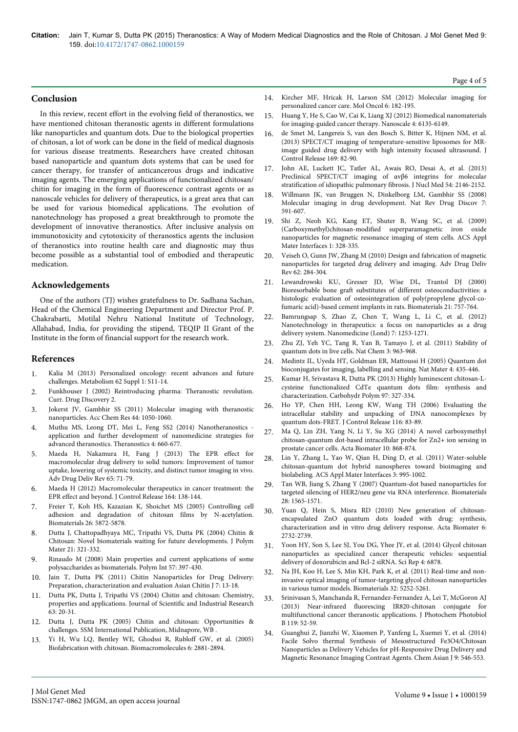### **Conclusion**

In this review, recent effort in the evolving field of theranostics, we have mentioned chitosan theranostic agents in different formulations like nanoparticles and quantum dots. Due to the biological properties of chitosan, a lot of work can be done in the field of medical diagnosis for various disease treatments. Researchers have created chitosan based nanoparticle and quantum dots systems that can be used for cancer therapy, for transfer of anticancerous drugs and indicative imaging agents. The emerging applications of functionalized chitosan/ chitin for imaging in the form of fluorescence contrast agents or as nanoscale vehicles for delivery of therapeutics, is a great area that can be used for various biomedical applications. The evolution of nanotechnology has proposed a great breakthrough to promote the development of innovative theranostics. After inclusive analysis on immunotoxicity and cytotoxicity of theranostics agents the inclusion of theranostics into routine health care and diagnostic may thus become possible as a substantial tool of embodied and therapeutic medication.

#### **Acknowledgements**

One of the authors (TJ) wishes gratefulness to Dr. Sadhana Sachan, Head of the Chemical Engineering Department and Director Prof. P. Chakrabarti, Motilal Nehru National Institute of Technology, Allahabad, India, for providing the stipend, TEQIP II Grant of the Institute in the form of financial support for the research work.

#### **References**

- 1. [Kalia M \(2013\) Personalized oncology: recent advances and future](http://www.ncbi.nlm.nih.gov/pubmed/22999010) [challenges. Metabolism 62 Suppl 1: S11-14.](http://www.ncbi.nlm.nih.gov/pubmed/22999010)
- 2. Funkhouser J (2002) Reintroducing pharma: Theranostic revolution. Curr. Drug Discovery 2.
- 3. [Jokerst JV, Gambhir SS \(2011\) Molecular imaging with theranostic](http://www.ncbi.nlm.nih.gov/pubmed/21919457) [nanoparticles. Acc Chem Res 44: 1050-1060.](http://www.ncbi.nlm.nih.gov/pubmed/21919457)
- 4. [Muthu MS, Leong DT, Mei L, Feng SS2 \(2014\) Nanotheranostics](http://www.ncbi.nlm.nih.gov/pubmed/24723986)  [application and further development of nanomedicine strategies for](http://www.ncbi.nlm.nih.gov/pubmed/24723986) [advanced theranostics. Theranostics 4: 660-677.](http://www.ncbi.nlm.nih.gov/pubmed/24723986)
- 5. [Maeda H, Nakamura H, Fang J \(2013\) The EPR effect for](http://www.ncbi.nlm.nih.gov/pubmed/23088862) [macromolecular drug delivery to solid tumors: Improvement of tumor](http://www.ncbi.nlm.nih.gov/pubmed/23088862) [uptake, lowering of systemic toxicity, and distinct tumor imaging in vivo.](http://www.ncbi.nlm.nih.gov/pubmed/23088862) [Adv Drug Deliv Rev 65: 71-79.](http://www.ncbi.nlm.nih.gov/pubmed/23088862)
- 6. [Maeda H \(2012\) Macromolecular therapeutics in cancer treatment: the](http://www.ncbi.nlm.nih.gov/pubmed/22595146) [EPR effect and beyond. J Control Release 164: 138-144.](http://www.ncbi.nlm.nih.gov/pubmed/22595146)
- 7. [Freier T, Koh HS, Kazazian K, Shoichet MS \(2005\) Controlling cell](http://www.ncbi.nlm.nih.gov/pubmed/15949553) [adhesion and degradation of chitosan films by N-acetylation.](http://www.ncbi.nlm.nih.gov/pubmed/15949553) [Biomaterials 26: 5872-5878.](http://www.ncbi.nlm.nih.gov/pubmed/15949553)
- 8. Dutta J, Chattopadhyaya MC, Tripathi VS, Dutta PK (2004) Chitin & Chitosan: Novel biomaterials waiting for future developments. J Polym Mater 21: 321-332.
- 9. Rinaudo M (2008) Main properties and current applications of some polysaccharides as biomaterials. Polym Int 57: 397-430.
- 10. Jain T, Dutta PK (2011) Chitin Nanoparticles for Drug Delivery: Preparation, characterization and evaluation Asian Chitin J 7: 13-18.
- 11. Dutta PK, Dutta J, Tripathi VS (2004) Chitin and chitosan: Chemistry, properties and applications. Journal of Scientific and Industrial Research 63: 20-31.
- 12. Dutta J, Dutta PK (2005) Chitin and chitosan: Opportunities & challenges. SSM International Publication, Midnapore, WB .
- 13. [Yi H, Wu LQ, Bentley WE, Ghodssi R, Rubloff GW, et al. \(2005\)](http://www.ncbi.nlm.nih.gov/pubmed/16283704) [Biofabrication with chitosan. Biomacromolecules 6: 2881-2894.](http://www.ncbi.nlm.nih.gov/pubmed/16283704)
- 14. [Kircher MF, Hricak H, Larson SM \(2012\) Molecular imaging for](http://www.ncbi.nlm.nih.gov/pubmed/22469618) [personalized cancer care. Mol Oncol 6: 182-195.](http://www.ncbi.nlm.nih.gov/pubmed/22469618)
- 15. [Huang Y, He S, Cao W, Cai K, Liang XJ \(2012\) Biomedical nanomaterials](http://www.ncbi.nlm.nih.gov/pubmed/22929990) [for imaging-guided cancer therapy. Nanoscale 4: 6135-6149.](http://www.ncbi.nlm.nih.gov/pubmed/22929990)
- 16. [de Smet M, Langereis S, van den Bosch S, Bitter K, Hijnen NM, et al.](http://www.ncbi.nlm.nih.gov/pubmed/23598044) [\(2013\) SPECT/CT imaging of temperature-sensitive liposomes for MR](http://www.ncbi.nlm.nih.gov/pubmed/23598044)[image guided drug delivery with high intensity focused ultrasound. J](http://www.ncbi.nlm.nih.gov/pubmed/23598044) [Control Release 169: 82-90.](http://www.ncbi.nlm.nih.gov/pubmed/23598044)
- 17. [John AE, Luckett JC, Tatler AL, Awais RO, Desai A, et al. \(2013\)](http://www.ncbi.nlm.nih.gov/pubmed/24167080) [Preclinical SPECT/CT imaging of αvβ6 integrins for molecular](http://www.ncbi.nlm.nih.gov/pubmed/24167080) [stratification of idiopathic pulmonary fibrosis. J Nucl Med 54: 2146-2152.](http://www.ncbi.nlm.nih.gov/pubmed/24167080)
- 18. [Willmann JK, van Bruggen N, Dinkelborg LM, Gambhir SS \(2008\)](http://www.ncbi.nlm.nih.gov/pubmed/18591980) [Molecular imaging in drug development. Nat Rev Drug Discov 7:](http://www.ncbi.nlm.nih.gov/pubmed/18591980) [591-607.](http://www.ncbi.nlm.nih.gov/pubmed/18591980)
- 19. [Shi Z, Neoh KG, Kang ET, Shuter B, Wang SC, et al. \(2009\)](http://www.ncbi.nlm.nih.gov/pubmed/20353220) [\(Carboxymethyl\)chitosan-modified superparamagnetic iron oxide](http://www.ncbi.nlm.nih.gov/pubmed/20353220) [nanoparticles for magnetic resonance imaging of stem cells. ACS Appl](http://www.ncbi.nlm.nih.gov/pubmed/20353220) [Mater Interfaces 1: 328-335.](http://www.ncbi.nlm.nih.gov/pubmed/20353220)
- 20. [Veiseh O, Gunn JW, Zhang M \(2010\) Design and fabrication of magnetic](http://www.ncbi.nlm.nih.gov/pubmed/19909778) [nanoparticles for targeted drug delivery and imaging. Adv Drug Deliv](http://www.ncbi.nlm.nih.gov/pubmed/19909778) [Rev 62: 284-304.](http://www.ncbi.nlm.nih.gov/pubmed/19909778)
- 21. [Lewandrowski KU, Gresser JD, Wise DL, Trantol DJ \(2000\)](http://www.ncbi.nlm.nih.gov/pubmed/10721744) [Bioresorbable bone graft substitutes of different osteoconductivities: a](http://www.ncbi.nlm.nih.gov/pubmed/10721744) [histologic evaluation of osteointegration of poly\(propylene glycol-co](http://www.ncbi.nlm.nih.gov/pubmed/10721744)[fumaric acid\)-based cement implants in rats. Biomaterials 21: 757-764.](http://www.ncbi.nlm.nih.gov/pubmed/10721744)
- 22. [Bamrungsap S, Zhao Z, Chen T, Wang L, Li C, et al. \(2012\)](http://www.ncbi.nlm.nih.gov/pubmed/22931450) [Nanotechnology in therapeutics: a focus on nanoparticles as a drug](http://www.ncbi.nlm.nih.gov/pubmed/22931450) [delivery system. Nanomedicine \(Lond\) 7: 1253-1271.](http://www.ncbi.nlm.nih.gov/pubmed/22931450)
- 23. [Zhu ZJ, Yeh YC, Tang R, Yan B, Tamayo J, et al. \(2011\) Stability of](http://www.ncbi.nlm.nih.gov/pubmed/22109277) [quantum dots in live cells. Nat Chem 3: 963-968.](http://www.ncbi.nlm.nih.gov/pubmed/22109277)
- 24. [Medintz IL, Uyeda HT, Goldman ER, Mattoussi H \(2005\) Quantum dot](http://www.ncbi.nlm.nih.gov/pubmed/15928695) [bioconjugates for imaging, labelling and sensing. Nat Mater 4: 435-446.](http://www.ncbi.nlm.nih.gov/pubmed/15928695)
- 25. [Kumar H, Srivastava R, Dutta PK \(2013\) Highly luminescent chitosan-L](http://www.ncbi.nlm.nih.gov/pubmed/23911453)[cysteine functionalized CdTe quantum dots film: synthesis and](http://www.ncbi.nlm.nih.gov/pubmed/23911453) [characterization. Carbohydr Polym 97: 327-334.](http://www.ncbi.nlm.nih.gov/pubmed/23911453)
- 26. [Ho YP, Chen HH, Leong KW, Wang TH \(2006\) Evaluating the](http://www.ncbi.nlm.nih.gov/pubmed/17081642) [intracellular stability and unpacking of DNA nanocomplexes by](http://www.ncbi.nlm.nih.gov/pubmed/17081642) [quantum dots-FRET. J Control Release 116: 83-89.](http://www.ncbi.nlm.nih.gov/pubmed/17081642)
- 27. [Ma Q, Lin ZH, Yang N, Li Y, Su XG \(2014\) A novel carboxymethyl](http://www.ncbi.nlm.nih.gov/pubmed/24211611) [chitosan-quantum dot-based intracellular probe for Zn2+ ion sensing in](http://www.ncbi.nlm.nih.gov/pubmed/24211611) [prostate cancer cells. Acta Biomater 10: 868-874.](http://www.ncbi.nlm.nih.gov/pubmed/24211611)
- 28. [Lin Y, Zhang L, Yao W, Qian H, Ding D, et al. \(2011\) Water-soluble](http://www.ncbi.nlm.nih.gov/pubmed/21388158) [chitosan-quantum dot hybrid nanospheres toward bioimaging and](http://www.ncbi.nlm.nih.gov/pubmed/21388158) [biolabeling. ACS Appl Mater Interfaces 3: 995-1002.](http://www.ncbi.nlm.nih.gov/pubmed/21388158)
- 29. [Tan WB, Jiang S, Zhang Y \(2007\) Quantum-dot based nanoparticles for](http://www.ncbi.nlm.nih.gov/pubmed/17161865) [targeted silencing of HER2/neu gene via RNA interference. Biomaterials](http://www.ncbi.nlm.nih.gov/pubmed/17161865) [28: 1565-1571.](http://www.ncbi.nlm.nih.gov/pubmed/17161865)
- 30. [Yuan Q, Hein S, Misra RD \(2010\) New generation of chitosan](http://www.ncbi.nlm.nih.gov/pubmed/20100604)[encapsulated ZnO quantum dots loaded with drug: synthesis,](http://www.ncbi.nlm.nih.gov/pubmed/20100604) [characterization and in vitro drug delivery response. Acta Biomater 6:](http://www.ncbi.nlm.nih.gov/pubmed/20100604) [2732-2739.](http://www.ncbi.nlm.nih.gov/pubmed/20100604)
- 31. [Yoon HY, Son S, Lee SJ, You DG, Yhee JY, et al. \(2014\) Glycol chitosan](http://www.ncbi.nlm.nih.gov/pubmed/25363213) [nanoparticles as specialized cancer therapeutic vehicles: sequential](http://www.ncbi.nlm.nih.gov/pubmed/25363213) [delivery of doxorubicin and Bcl-2 siRNA. Sci Rep 4: 6878.](http://www.ncbi.nlm.nih.gov/pubmed/25363213)
- 32. [Na JH, Koo H, Lee S, Min KH, Park K, et al. \(2011\) Real-time and non](http://www.ncbi.nlm.nih.gov/pubmed/21513975)[invasive optical imaging of tumor-targeting glycol chitosan nanoparticles](http://www.ncbi.nlm.nih.gov/pubmed/21513975) [in various tumor models. Biomaterials 32: 5252-5261.](http://www.ncbi.nlm.nih.gov/pubmed/21513975)
- 33. [Srinivasan S, Manchanda R, Fernandez-Fernandez A, Lei T, McGoron AJ](http://www.ncbi.nlm.nih.gov/pubmed/23347965) [\(2013\) Near-infrared fluorescing IR820-chitosan conjugate for](http://www.ncbi.nlm.nih.gov/pubmed/23347965) [multifunctional cancer theranostic applications. J Photochem Photobiol](http://www.ncbi.nlm.nih.gov/pubmed/23347965) [B 119: 52-59.](http://www.ncbi.nlm.nih.gov/pubmed/23347965)
- 34. Guanghui Z, Jianzhi W, Xiaomen P, Yanfeng L, Xuemei Y, et al. (2014) Facile Solvo thermal Synthesis of Mesostructured Fe3O4/Chitosan Nanoparticles as Delivery Vehicles for pH-Responsive Drug Delivery and Magnetic Resonance Imaging Contrast Agents. Chem Asian J 9: 546-553.

Page 4 of 5